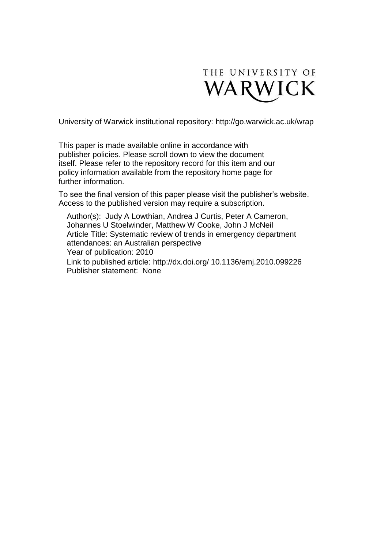

University of Warwick institutional repository:<http://go.warwick.ac.uk/wrap>

This paper is made available online in accordance with publisher policies. Please scroll down to view the document itself. Please refer to the repository record for this item and our policy information available from the repository home page for further information.

To see the final version of this paper please visit the publisher's website. Access to the published version may require a subscription.

Author(s): Judy A Lowthian, Andrea J Curtis, Peter A Cameron, Johannes U Stoelwinder, Matthew W Cooke, John J McNeil Article Title: Systematic review of trends in emergency department attendances: an Australian perspective Year of publication: 2010 Link to published article: http://dx.doi.org/ 10.1136/emj.2010.099226 Publisher statement: None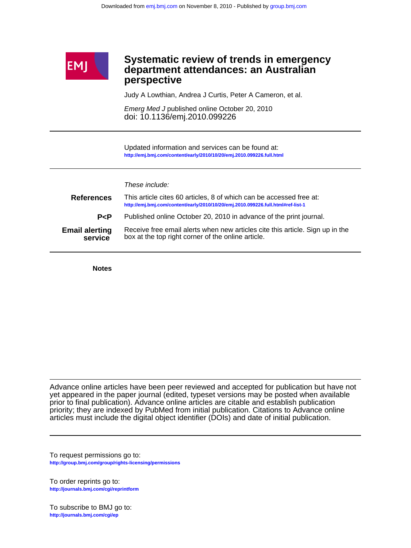

# **perspective department attendances: an Australian Systematic review of trends in emergency**

Judy A Lowthian, Andrea J Curtis, Peter A Cameron, et al.

doi: 10.1136/emj.2010.099226 Emerg Med J published online October 20, 2010

**<http://emj.bmj.com/content/early/2010/10/20/emj.2010.099226.full.html>** Updated information and services can be found at:

| <b>References</b>                | This article cites 60 articles, 8 of which can be accessed free at:<br>http://emj.bmj.com/content/early/2010/10/20/emj.2010.099226.full.html#ref-list-1 |
|----------------------------------|---------------------------------------------------------------------------------------------------------------------------------------------------------|
| P < P                            | Published online October 20, 2010 in advance of the print journal.                                                                                      |
| <b>Email alerting</b><br>service | Receive free email alerts when new articles cite this article. Sign up in the<br>box at the top right corner of the online article.                     |

**Notes**

articles must include the digital object identifier (DOIs) and date of initial publication. priority; they are indexed by PubMed from initial publication. Citations to Advance online prior to final publication). Advance online articles are citable and establish publication yet appeared in the paper journal (edited, typeset versions may be posted when available Advance online articles have been peer reviewed and accepted for publication but have not

**<http://group.bmj.com/group/rights-licensing/permissions>** To request permissions go to:

**<http://journals.bmj.com/cgi/reprintform>** To order reprints go to:

**<http://journals.bmj.com/cgi/ep>** To subscribe to BMJ go to: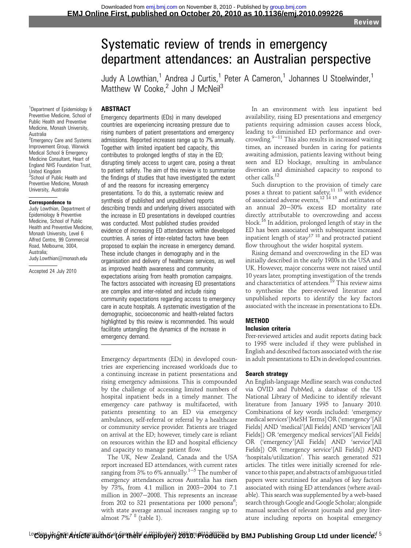Review

# Systematic review of trends in emergency department attendances: an Australian perspective

Judy A Lowthian,<sup>1</sup> Andrea J Curtis,<sup>1</sup> Peter A Cameron,<sup>1</sup> Johannes U Stoelwinder,<sup>1</sup> Matthew W Cooke, $^2$  John J McNeil<sup>3</sup>

# **ABSTRACT**

<sup>1</sup>Department of Epidemiology & Preventive Medicine, School of Public Health and Preventive Medicine, Monash University, Australia

<sup>2</sup> Emergency Care and Systems Improvement Group, Warwick Medical School & Emergency Medicine Consultant, Heart of England NHS Foundation Trust, United Kingdom <sup>3</sup>School of Public Health and Preventive Medicine, Monash University, Australia

#### Correspondence to

Judy Lowthian, Department of Epidemiology & Preventive Medicine, School of Public Health and Preventive Medicine, Monash University, Level 6 Alfred Centre, 99 Commercial Road, Melbourne, 3004, Australia; Judy.Lowthian@monash.edu

Accepted 24 July 2010

Emergency departments (EDs) in many developed countries are experiencing increasing pressure due to rising numbers of patient presentations and emergency admissions. Reported increases range up to 7% annually. Together with limited inpatient bed capacity, this contributes to prolonged lengths of stay in the ED; disrupting timely access to urgent care, posing a threat to patient safety. The aim of this review is to summarise the findings of studies that have investigated the extent of and the reasons for increasing emergency presentations. To do this, a systematic review and synthesis of published and unpublished reports describing trends and underlying drivers associated with the increase in ED presentations in developed countries was conducted. Most published studies provided evidence of increasing ED attendances within developed countries. A series of inter-related factors have been proposed to explain the increase in emergency demand. These include changes in demography and in the organisation and delivery of healthcare services, as well as improved health awareness and community expectations arising from health promotion campaigns. The factors associated with increasing ED presentations are complex and inter-related and include rising community expectations regarding access to emergency care in acute hospitals. A systematic investigation of the demographic, socioeconomic and health-related factors highlighted by this review is recommended. This would facilitate untangling the dynamics of the increase in emergency demand.

Emergency departments (EDs) in developed countries are experiencing increased workloads due to a continuing increase in patient presentations and rising emergency admissions. This is compounded by the challenge of accessing limited numbers of hospital inpatient beds in a timely manner. The emergency care pathway is multifaceted, with patients presenting to an ED via emergency ambulances, self-referral or referral by a healthcare or community service provider. Patients are triaged on arrival at the ED; however, timely care is reliant on resources within the ED and hospital efficiency and capacity to manage patient flow.

The UK, New Zealand, Canada and the USA report increased ED attendances, with current rates ranging from 3% to 6% annually.<sup>1-5</sup> The number of emergency attendances across Australia has risen by 73%, from 4.1 million in  $2003 - 2004$  to 7.1 million in  $2007-2008$ . This represents an increase from 202 to 321 presentations per 1000 persons<sup>6</sup>; with state average annual increases ranging up to almost  $7\%$ <sup>7 8</sup> (table 1).

In an environment with less inpatient bed availability, rising ED presentations and emergency patients requiring admission causes access block, leading to diminished ED performance and overcrowding. $9-11$  This also results in increased waiting times, an increased burden in caring for patients awaiting admission, patients leaving without being seen and ED blockage, resulting in ambulance diversion and diminished capacity to respond to other calls.<sup>12</sup>

Such disruption to the provision of timely care poses a threat to patient safety, $11$   $13$  with evidence of associated adverse events,  $12^{14}$   $15$  and estimates of an annual 20-30% excess ED mortality rate directly attributable to overcrowding and access block.<sup>16</sup> In addition, prolonged length of stay in the ED has been associated with subsequent increased inpatient length of stay<sup>17 18</sup> and protracted patient flow throughout the wider hospital system.

Rising demand and overcrowding in the ED was initially described in the early 1980s in the USA and UK. However, major concerns were not raised until 10 years later, prompting investigation of the trends and characteristics of attendees.<sup>19</sup> This review aims to synthesise the peer-reviewed literature and unpublished reports to identify the key factors associated with the increase in presentations to EDs.

# METHOD

# Inclusion criteria

Peer-reviewed articles and audit reports dating back to 1995 were included if they were published in English and described factors associated with the rise in adult presentations to EDs in developed countries.

#### Search strategy

An English-language Medline search was conducted via OVID and PubMed, a database of the US National Library of Medicine to identify relevant literature from January 1995 to January 2010. Combinations of key words included: 'emergency medical services'[MeSH Terms] OR ('emergency'[All Fields] AND 'medical'[All Fields] AND 'services'[All Fields]) OR 'emergency medical services'[All Fields] OR ('emergency'[All Fields] AND 'service'[All Fields]) OR 'emergency service'[All Fields]) AND 'hospitals/utilization'. This search generated 521 articles. The titles were initially screened for relevance to this paper, and abstracts of ambiguous titled papers were scrutinised for analyses of key factors associated with rising ED attendances (where available). This search was supplemented by a web-based search through Google and Google Scholar; alongside manual searches of relevant journals and grey literature including reports on hospital emergency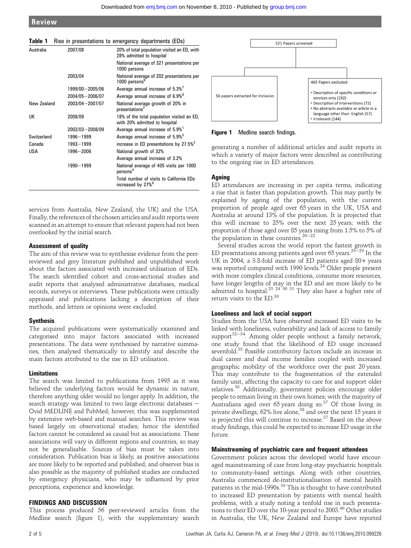# Review

|  |  | Table 1 Rise in presentations to emergency departments (EDs) |  |  |  |  |
|--|--|--------------------------------------------------------------|--|--|--|--|
|--|--|--------------------------------------------------------------|--|--|--|--|

| Australia   | 2007/08         | 20% of total population visited an ED, with<br>28% admitted to hospital     |
|-------------|-----------------|-----------------------------------------------------------------------------|
|             |                 | National average of 321 presentations per<br>1000 persons                   |
|             | 2003/04         | National average of 202 presentations per<br>1000 persons <sup>6</sup>      |
|             | 1999/00-2005/06 | Average annual increase of 5.3%'                                            |
|             | 2004/05-2006/07 | Average annual increase of 6.9% <sup>8</sup>                                |
| New Zealand | 2003/04-2007/07 | National average growth of 20% in<br>presentations <sup>2</sup>             |
| UK          | 2008/09         | 18% of the total population visited an ED,<br>with 20% admitted to hospital |
|             | 2002/03-2008/09 | Average annual increase of 5.9% <sup>1</sup>                                |
| Switzerland | 1996-1999       | Average annual increase of 5.9% <sup>5</sup>                                |
| Canada      | 1993-1999       | increase in ED presentations by $27.5\%$ <sup>3</sup>                       |
| USA         | 1996-2006       | National growth of 32%                                                      |
|             |                 | Average annual increase of 3.2%                                             |
|             | 1990-1999       | National average of 405 visits per 1000<br>persons <sup>4</sup>             |
|             |                 | Total number of visits to California EDs<br>increased by 27% <sup>9</sup>   |

services from Australia, New Zealand, the UK) and the USA. Finally, the references of the chosen articles and audit reports were scanned in an attempt to ensure that relevant papers had not been overlooked by the initial search.

#### Assessment of quality

The aim of this review was to synthesise evidence from the peerreviewed and grey literature published and unpublished work about the factors associated with increased utilisation of EDs. The search identified cohort and cross-sectional studies and audit reports that analysed administrative databases, medical records, surveys or interviews. These publications were critically appraised and publications lacking a description of their methods, and letters or opinions were excluded.

# Synthesis

The acquired publications were systematically examined and categorised into major factors associated with increased presentations. The data were synthesised by narrative summaries, then analysed thematically to identify and describe the main factors attributed to the rise in ED utilisation.

# Limitations

The search was limited to publications from 1995 as it was believed the underlying factors would be dynamic in nature, therefore anything older would no longer apply. In addition, the search strategy was limited to two large electronic databases -Ovid MEDLINE and PubMed; however, this was supplemented by extensive web-based and manual searches. This review was based largely on observational studies; hence the identified factors cannot be considered as causal but as associations. These associations will vary in different regions and countries, so may not be generalisable. Sources of bias must be taken into consideration. Publication bias is likely, as positive associations are more likely to be reported and published; and observer bias is also possible as the majority of published studies are conducted by emergency physicians, who may be influenced by prior perceptions, experience and knowledge.

# FINDINGS AND DISCUSSION

This process produced 56 peer-reviewed articles from the Medline search (figure 1), with the supplementary search





generating a number of additional articles and audit reports in which a variety of major factors were described as contributing to the ongoing rise in ED attendances.

# **Ageing**

ED attendances are increasing in per capita terms, indicating a rise that is faster than population growth. This may partly be explained by ageing of the population, with the current proportion of people aged over 65 years in the UK, USA and Australia at around 13% of the population. It is projected that this will increase to 25% over the next 25 years; with the proportion of those aged over 85 years rising from 1.5% to 5% of the population in these countries. $20-22$ 

Several studies across the world report the fastest growth in ED presentations among patients aged over 65 years.<sup>23–29</sup> In the UK in 2004, a 3.8-fold increase of ED patients aged 80+ years was reported compared with 1990 levels.<sup>24</sup> Older people present with more complex clinical conditions, consume more resources, have longer lengths of stay in the ED and are more likely to be admitted to hospital.<sup>23 24 30 31</sup> They also have a higher rate of return visits to the ED.30

# Loneliness and lack of social support

Studies from the USA have observed increased ED visits to be linked with loneliness, vulnerability and lack of access to family support $32-34$ . Among older people without a family network, one study found that the likelihood of ED usage increased sevenfold.<sup>35</sup> Possible contributory factors include an increase in dual career and dual income families coupled with increased geographic mobility of the workforce over the past 20 years. This may contribute to the fragmentation of the extended family unit, affecting the capacity to care for and support older relatives.<sup>36</sup> Additionally, government policies encourage older people to remain living in their own homes; with the majority of Australians aged over 65 years doing so. $37$  Of those living in private dwellings, 62% live alone,<sup>38</sup> and over the next 15 years it is projected this will continue to increase.<sup>37</sup> Based on the above study findings, this could be expected to increase ED usage in the future.

## Mainstreaming of psychiatric care and frequent attendees

Government policies across the developed world have encouraged mainstreaming of care from long-stay psychiatric hospitals to community-based settings. Along with other countries, Australia commenced de-institutionalisation of mental health patients in the mid-1990s.<sup>39</sup> This is thought to have contributed to increased ED presentation by patients with mental health problems, with a study noting a tenfold rise in such presentations to their ED over the 10-year period to 2003.<sup>40</sup> Other studies in Australia, the UK, New Zealand and Europe have reported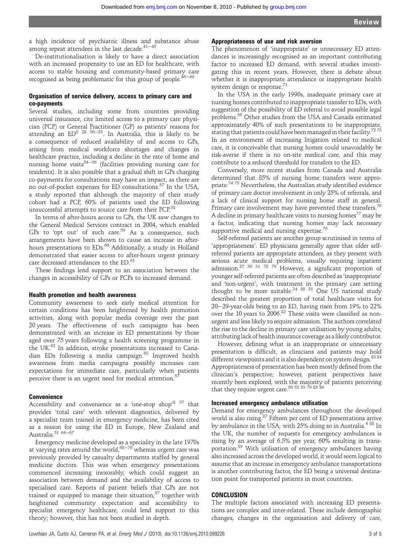a high incidence of psychiatric illness and substance abuse<br>among repeat attendees in the last decade.<sup>41–45</sup>

De-institutionalisation is likely to have a direct association with an increased propensity to use an ED for healthcare, with access to stable housing and community-based primary care recognised as being problematic for this group of people. $46-49$ 

# Organisation of service delivery, access to primary care and co-payments

Several studies, including some from countries providing universal insurance, cite limited access to a primary care physician (PCP) or General Practitioner (GP) as patients' reasons for<br>attending an ED<sup>8 28 50–53</sup>. In Australia, this is likely to be a consequence of reduced availability of and access to GPs, arising from medical workforce shortages and changes in healthcare practice, including a decline in the rate of home and nursing home visits $5^{4-56}$  (facilities providing nursing care for residents). It is also possible that a gradual shift in GPs charging co-payments for consultations may have an impact, as there are no out-of-pocket expenses for ED consultations.<sup>57</sup> In the USA, a study reported that although the majority of their study cohort had a PCP, 60% of patients used the ED following unsuccessful attempts to source care from their PCP.<sup>58</sup>

In terms of after-hours access to GPs, the UK saw changes to the General Medical Services contract in 2004, which enabled GPs to 'opt out' of such care.<sup>59</sup> As a consequence, such arrangements have been shown to cause an increase in afterhours presentations to EDs.<sup>60</sup> Additionally, a study in Holland demonstrated that easier access to after-hours urgent primary care decreased attendances to the  $\mathrm{ED.}^{61}$ 

These findings lend support to an association between the changes in accessibility of GPs or PCPs to increased demand.

## Health promotion and health awareness

Community awareness to seek early medical attention for certain conditions has been heightened by health promotion activities, along with popular media coverage over the past 20 years. The effectiveness of such campaigns has been demonstrated with an increase in ED presentations by those aged over 75 years following a health screening programme in the UK.62 In addition, stroke presentations increased to Canadian EDs following a media campaign.<sup>63</sup> Improved health awareness from media campaigns possibly increases care expectations for immediate care, particularly when patients perceive there is an urgent need for medical attention.<sup>57</sup>

#### **Convenience**

Accessibility and convenience as a 'one-stop shop'<sup>8 57</sup> that provides 'total care' with relevant diagnostics, delivered by a specialist team trained in emergency medicine, has been cited as a reason for using the ED in Europe, New Zealand and Australia. $51\overline{64-67}$ 

Emergency medicine developed as a speciality in the late 1970s<br>at varying rates around the world, $^{68-70}$  whereas urgent care was previously provided by casualty departments staffed by general medicine doctors. This was when emergency presentations commenced increasing inexorably, which could suggest an association between demand and the availability of access to specialised care. Reports of patient beliefs that GPs are not trained or equipped to manage their situation, $57$  together with heightened community expectation and accessibility to specialist emergency healthcare, could lend support to this theory; however, this has not been studied in depth.

#### Appropriateness of use and risk aversion

The phenomenon of 'inappropriate' or unnecessary ED attendances is increasingly recognised as an important contributing factor to increased ED demand, with several studies investigating this in recent years. However, there is debate about whether it is inappropriate attendance or inappropriate health system design or response. $71$ 

In the USA in the early 1990s, inadequate primary care at nursing homes contributed to inappropriate transfer to EDs, with suggestion of the possibility of ED referral to avoid possible legal problems.<sup>56</sup> Other studies from the USA and Canada estimated approximately 40% of such presentations to be inappropriate, stating that patients could have been managed in their facility.<sup>7273</sup> In an environment of increasing litigation related to medical care, it is conceivable that nursing homes could unavoidably be risk-averse if there is no on-site medical care, and this may contribute to a reduced threshold for transfers to the ED.

Conversely, more recent studies from Canada and Australia determined that 85% of nursing home transfers were appropriate.<sup>74</sup> <sup>75</sup> Nevertheless, the Australian study identified evidence of primary care doctor involvement in only 25% of referrals, and a lack of clinical support for nursing home staff in general. Primary care involvement may have prevented these transfers.<sup>76</sup> A decline in primary healthcare visits to nursing homes<sup>77</sup> may be a factor, indicating that nursing homes may lack necessary supportive medical and nursing expertise.<sup>76</sup>

Self-referred patients are another group scrutinised in terms of 'appropriateness'. ED physicians generally agree that older selfreferred patients are appropriate attendees, as they present with serious acute medical problems, usually requiring inpatient admission.<sup>27 30 31 78 79</sup> However, a significant proportion of younger self-referred patients are often described as'inappropriate' and 'non-urgent', with treatment in the primary care setting thought to be more suitable. $34$   $80$   $81$  One US national study described the greatest proportion of total healthcare visits for 20-29-year-olds being to an ED, having risen from 19% to 22% over the 10 years to 2006.<sup>82</sup> These visits were classified as nonurgent and less likely to require admission. The authors correlated the rise to the decline in primary care utilisation by young adults; attributing lack of health insurance coverage as a likely contributor.

However, defining what is an inappropriate or unnecessary presentation is difficult, as clinicians and patients may hold different viewpoints and it is also dependent on system design.<sup>83 84</sup> Appropriateness of presentation has been mostly defined from the clinician's perspective; however, patient perspectives have recently been explored, with the majority of patients perceiving that they require urgent care.<sup>50 52 53 79 85 86</sup>

## Increased emergency ambulance utilisation

Demand for emergency ambulances throughout the developed world is also rising.<sup>87</sup> Fifteen per cent of ED presentations arrive by ambulance in the USA; with 25% doing so in Australia.<sup>4 88</sup> In the UK, the number of requests for emergency ambulances is rising by an average of 6.5% per year, 60% resulting in transportation.<sup>89</sup> With utilisation of emergency ambulances having also increased across the developed world, it would seem logical to assume that an increase in emergency ambulance transportations is another contributing factor, the ED being a universal destination point for transported patients in most countries.

# CONCLUSION

The multiple factors associated with increasing ED presentations are complex and inter-related. These include demographic changes, changes in the organisation and delivery of care,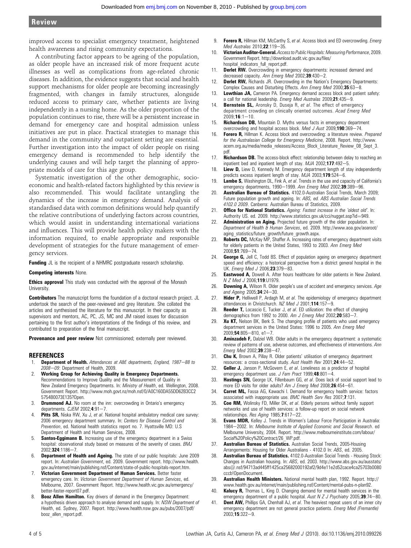improved access to specialist emergency treatment, heightened health awareness and rising community expectations.

A contributing factor appears to be ageing of the population, as older people have an increased risk of more frequent acute illnesses as well as complications from age-related chronic diseases. In addition, the evidence suggests that social and health support mechanisms for older people are becoming increasingly fragmented, with changes in family structures, alongside reduced access to primary care, whether patients are living independently in a nursing home. As the older proportion of the population continues to rise, there will be a persistent increase in demand for emergency care and hospital admission unless initiatives are put in place. Practical strategies to manage this demand in the community and outpatient setting are essential. Further investigation into the impact of older people on rising emergency demand is recommended to help identify the underlying causes and will help target the planning of appropriate models of care for this age group.

Systematic investigation of the other demographic, socioeconomic and health-related factors highlighted by this review is also recommended. This would facilitate untangling the dynamics of the increase in emergency demand. Analysis of standardised data with common definitions would help quantify the relative contributions of underlying factors across countries, which would assist in understanding international variations and influences. This will provide health policy makers with the information required, to enable appropriate and responsible development of strategies for the future management of emergency services.

Funding JL is the recipient of a NHMRC postgraduate research scholarship.

#### Competing interests None.

**Ethics approval** This study was conducted with the approval of the Monash University.

Contributors The manuscript forms the foundation of a doctoral research project. JL undertook the search of the peer-reviewed and grey literature. She collated the articles and synthesised the literature for this manuscript. In their capacity as supervisors and mentors, AC, PC, JS, MC and JM raised issues for discussion pertaining to the first author's interpretations of the findings of this review, and contributed to preparation of the final manuscript.

Provenance and peer review Not commissioned; externally peer reviewed.

#### REFERENCES

- Department of Health. Attendances at A&E departments, England, 1987-88 to 2008-09: Department of Health, 2009.
- 2. Working Group for Achieving Quality in Emergency Departments. Recommendations to Improve Quality and the Measurement of Quality in New Zealand Emergency Departments. In: Ministry of Health, ed. Wellington, 2008. Government Report. http://www.moh.govt.nz/moh.nsf/0/A0C160DA55DD62B3CC2 5754B0073E135?Open.
- 3. **Drummond AJ.** No room at the inn: overcrowding in Ontario's emergency departments.  $CJEM$  2002; 4:91-7.
- Pitts SR, Niska RW, Xu J, et al. National hospital ambulatory medical care survey: 2006 emergency department summary. In: Centers for Disease Control and Prevention, ed. National health statistics report no. 7. Hyattsville MD: U.S Department of Health and Human Services, 2008.
- 5. **Santos-Eggimann B.** Increasing use of the emergency department in a Swiss hospital: observational study based on measures of the severity of cases. BMJ  $2002:324:1186 - 7$
- 6. Department of Health and Ageing. The state of our public hospitals: June 2009 report. In: Australian Government, ed. 2009. Government report. http://www.health. gov.au/internet/main/publishing.nsf/Content/state-of-public-hospitals-report.htm.
- 7. Victorian Government Department of Human Services. Better faster emergency care. In: Victorian Government Department of Human Services, ed. Melbourne, 2007. Government Report. http://www.health.vic.gov.au/emergency/ better-faster-report07.pdf.
- 8. Booz Allen Hamilton. Key drivers of demand in the Emergency Department: a hypothesis driven approach to analyse demand and supply. In: NSW Department of Health, ed. Sydney, 2007. Report. http://www.health.nsw.gov.au/pubs/2007/pdf/ booz allen report.pdf.
- 9. **Forero R**, Hillman KM, McCarthy S, et al. Access block and ED overcrowding. *Emerg* Med Australas 2010:22:119-35.
- 10. Victorian Auditor-General. Access to Public Hospitals: Measuring Performance, 2009. Government Report. http://download.audit.vic.gov.au/files/ hospital\_indicators\_full\_report.pdf.
- 11. Derlet RW. Overcrowding in emergency departments: increased demand and decreased capacity. Ann Emerg Med 2002;39:430-2.
- 12. Derlet RW, Richards JR. Overcrowding in the Nation's Emergency Departments: Complex Causes and Disturbing Effects. Ann Emerg Med 2000;35:63-8.
- 13. Lowthian JA, Cameron PA. Emergency demand access block and patient safety: a call for national leadership. Emerg Med Australas 2009;21:435-9.
- 14. **Bernstein SL,** Aronsky D, Duseja R, et al. The effect of emergency department crowding on clinically oriented outcomes. Acad Emerg Med  $2009;16:1-10.$
- 15. **Richardson DB,** Mountain D. Myths versus facts in emergency department overcrowding and hospital access block. Med J Aust 2009;190:369-74.
- 16. Forero R, Hillman K. Access block and overcrowding: a literature review. Prepared for the Australasian College for Emergency Medicine, 2008. Report. http://www. acem.org.au/media/media\_releases/Access\_Block\_Literature\_Review\_08\_Sept\_3. pdf.
- 17. **Richardson DB.** The access-block effect: relationship between delay to reaching an inpatient bed and inpatient length of stay.  $MJA 2002; 177:492-5$ .
- 18. Liew D, Liew D, Kennedy M. Emergency department length of stay independently predicts excess inpatient length of stay.  $MJA$  2003;179:524-6.
- 19. **Lambe S,** Washington DL, Fink A, et al. Trends in the use and capacity of California's emergency departments, 1990-1999. Ann Emerg Med 2002;39:389-96.
- 20. Australian Bureau of Statistics. 4102.0-Australian Social Trends, March 2009; Future population growth and ageing. In: ABS, ed. ABS Australian Social Trends 4102.0 2009. Canberra: Australian Bureau of Statistics, 2009.
- **Office for National Statistics.** Ageing: Fastest increase in the 'oldest old'. In: Authority US. ed. 2009. http://www.statistics.gov.uk/cci/nugget.asp?id=949.
- 22. Administration on Aging. Projected future growth of the older population. In: Department of Health & Human Services, ed. 2009. http://www.aoa.gov/aoaroot/ aging statistics/future growth/future growth.aspx.
- **Roberts DC.** McKay MP, Shaffer A. Increasing rates of emergency department visits for elderly patients in the United States, 1993 to 2003. Ann Emerg Med  $2008:51:769 - 74$
- 24. George G, Jell C, Todd BS. Effect of population ageing on emergency department speed and efficiency: a historical perspective from a district general hospital in the UK. Emerg Med J 2006; 23:379-83.
- 25. **Eastwood A,** Dowell A. After hours healthcare for older patients in New Zealand. N Z Med J 2006;119:U1979.
- 26. Downing A, Wilson R. Older people's use of accident and emergency services. Age and Ageing 2005;34:24-30.
- 27. **Hider P,** Helliwell P, Ardagh M, et al. The epidemiology of emergency department attendances in Christchurch. NZ Med J 2001;114:157-9.
- 28. Reeder T, Locascio E, Tucker J, et al. ED utilization: the effect of changing demographics from 1992 to 2000. Am  $J$  Emerg Med 2002;20:583-7.
- 29. **Xu KT,** Nelson BK, Berk S. The changing profile of patients who used emergency department services in the United States: 1996 to 2005. Ann Emerg Med  $2009:54:805 - 810 = 1 - 7$
- 30. **Aminzadeh F,** Dalziel WB. Older adults in the emergency department: a systematic review of patterns of use, adverse outcomes, and effectiveness of interventions. Ann Emerg Med 2002;39:238-47.
- 31. **Chu K,** Brown A, Pillay R. Older patients' utilisation of emergency department resources: a cross-sectional study. Aust Health Rev 2001;24:44-52.
- 32. Geller J, Janson P, McGovern E, et al. Loneliness as a predictor of hospital emergency department use. J Fam Pract 1999;48:801-4.
- 33. **Hastings SN, George LK, Fillenbaum GG, et al. Does lack of social support lead to** more ED visits for older adults? Am J Emerg Med 2008;26:454-61.
- 34. **Carret ML, Fassa AG, Kawachi I. Demand for emergency health service: factors** associated with inappropriate use. BMC Health Serv Res 2007;7:131.
- 35. Coe RM, Wolinsky FD, Miller DK, et al. Elderly persons without family support networks and use of health services: a follow-up report on social network relationships. Res Aging 1985;  $7:617-22$ .
- 36. Evans MDR, Kelley J. Trends in Women's Labour Force Participation in Australia: 1984-2002. In: Melbourne Institute of Applied Economic and Social Research. ed Melbourne University, 2004. Report. http://www.melbourneinstitute.com/labour/ Social%20Policy%20Contract/26\_WP.pdf.
- 37. Australian Bureau of Statistics. Australian Social Trends, 2005-Housing Arrangements: Housing for Older Australians - 4102.0 In: ABS, ed. 2005.
- 38. Australian Bureau of Statistics. 4102.0-Australian Social Trends Housing Stock: Changes in Australian housing. In: ABS, ed. 2003. http://www.abs.gov.au/ausstats/ abs@.nsf/94713ad445ff1425ca25682000192af2/9d4e11e2d52cace4ca25703b0080 cccb!OpenDocument.
- 39. Australian Health Ministers. National mental health plan, 1992. Report. http:// www.health.gov.au/internet/main/publishing.nsf/Content/mental-pubs-n-plan92.
- 40. Kalucy R, Thomas L, King D. Changing demand for mental health services in the emergency department of a public hospital. Aust N  $Z$  J Psychiatry 2005;39:74-80.
- 41. **Dent AW,** Phillips GA, Chenhall AJ, et al. The heaviest repeat users of an inner city emergency department are not general practice patients. Emerg Med (Fremantle)  $2003:15:322 - 9$